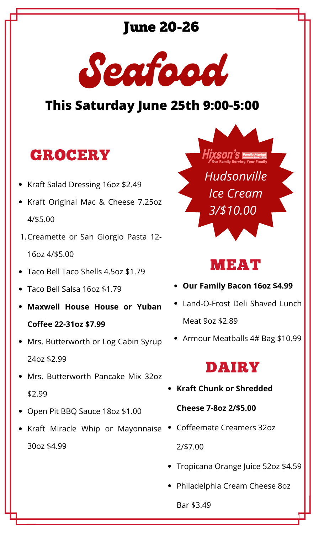#### June 20-26



#### **This Saturday June 25th 9:00-5:00**

### GROCERY

- Kraft Salad Dressing 16oz \$2.49
- Kraft Original Mac & Cheese 7.25oz 4/\$5.00
- Creamette or San Giorgio Pasta 12- 1.

16oz 4/\$5.00

- Taco Bell Taco Shells 4.5oz \$1.79
- Taco Bell Salsa 16oz \$1.79
- **Maxwell House House or Yuban Coffee 22-31oz \$7.99**
- Mrs. Butterworth or Log Cabin Syrup 24oz \$2.99
- Mrs. Butterworth Pancake Mix 32oz \$2.99
- Open Pit BBQ Sauce 18oz \$1.00
- Kraft Miracle Whip or Mayonnaise Coffeemate Creamers 32oz 30oz \$4.99



#### MEAT

- **Our Family Bacon 16oz \$4.99**
- Land-O-Frost Deli Shaved Lunch Meat 9oz \$2.89
- Armour Meatballs 4# Bag \$10.99

#### DAIRY

**Kraft Chunk or Shredded**

#### **Cheese 7-8oz 2/\$5.00**

2/\$7.00

- Tropicana Orange Juice 52oz \$4.59
- Philadelphia Cream Cheese 8oz

Bar \$3.49